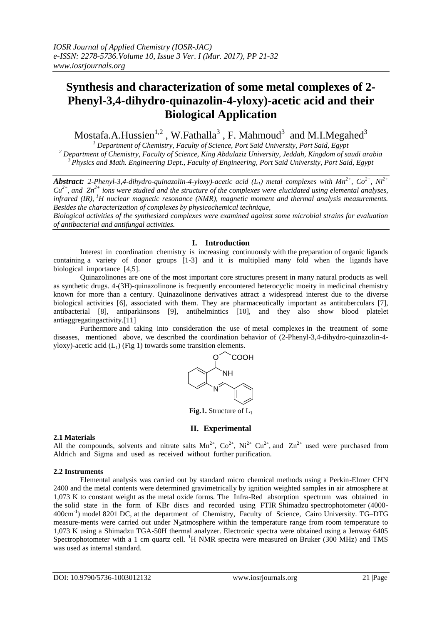# **Synthesis and characterization of some metal complexes of 2- Phenyl-3,4-dihydro-quinazolin-4-yloxy)-acetic acid and their Biological Application**

Mostafa.A.Hussien $^{1,2}$  , W.Fathalla $^3$  , F. Mahmoud $^3\,$  and M.I.Megahed $^3\,$ 

*<sup>1</sup> Department of Chemistry, Faculty of Science, Port Said University, Port Said, Egypt <sup>2</sup> Department of Chemistry, Faculty of Science, King Abdulaziz University, Jeddah, Kingdom of saudi arabia <sup>3</sup> Physics and Math. Engineering Dept., Faculty of Engineering, Port Said University, Port Said, Egypt*

*Abstract: 2-Phenyl-3,4-dihydro-quinazolin-4-yloxy)-acetic acid (L1) metal complexes with Mn2+ , Co2+, Ni2+*  $Cu^{2+}$ , and  $Zn^{2+}$  ions were studied and the structure of the complexes were elucidated using elemental analyses, *infrared (IR), <sup>1</sup>H nuclear magnetic resonance (NMR), magnetic moment and thermal analysis measurements. Besides the characterization of complexes by physicochemical technique,* 

*Biological activities of the synthesized complexes were examined against some microbial strains for evaluation of antibacterial and antifungal activities.*

## **I. Introduction**

Interest in coordination chemistry is increasing continuously with the preparation of organic ligands containing a variety of donor groups [1-3] and it is multiplied many fold when the ligands have biological importance [4,5].

Quinazolinones are one of the most important core structures present in many natural products as well as synthetic drugs. 4-(3H)-quinazolinone is frequently encountered heterocyclic moeity in medicinal chemistry known for more than a century. Quinazolinone derivatives attract a widespread interest due to the diverse biological activities [6], associated with them. They are pharmaceutically important as antituberculars [7], antibacterial [8], antiparkinsons [9], antihelmintics [10], and they also show blood platelet antiaggregatingactivity.[11]

Furthermore and taking into consideration the use of metal complexes in the treatment of some diseases, mentioned above, we described the coordination behavior of (2-Phenyl-3,4-dihydro-quinazolin-4 yloxy)-acetic acid  $(L_1)$  (Fig 1) towards some transition elements.



**Fig.1.** Structure of L<sub>1</sub>

## **II. Experimental**

## **2.1 Materials**

All the compounds, solvents and nitrate salts  $Mn^{2+}$ ,  $Co^{2+}$ ,  $Ni^{2+} Cu^{2+}$ , and  $Zn^{2+}$  used were purchased from Aldrich and Sigma and used as received without further purification.

## **2.2 Instruments**

Elemental analysis was carried out by standard micro chemical methods using a Perkin-Elmer CHN 2400 and the metal contents were determined gravimetrically by ignition weighted samples in air atmosphere at 1,073 K to constant weight as the metal oxide forms. The Infra-Red absorption spectrum was obtained in the solid state in the form of KBr discs and recorded using FTIR Shimadzu spectrophotometer (4000- 400cm<sup>-1</sup>) model 8201 DC, at the department of Chemistry, Faculty of Science, Cairo University. TG-DTG measure-ments were carried out under N<sub>2</sub>atmosphere within the temperature range from room temperature to 1,073 K using a Shimadzu TGA-50H thermal analyzer. Electronic spectra were obtained using a Jenway 6405 Spectrophotometer with a 1 cm quartz cell. <sup>1</sup>H NMR spectra were measured on Bruker (300 MHz) and TMS was used as internal standard.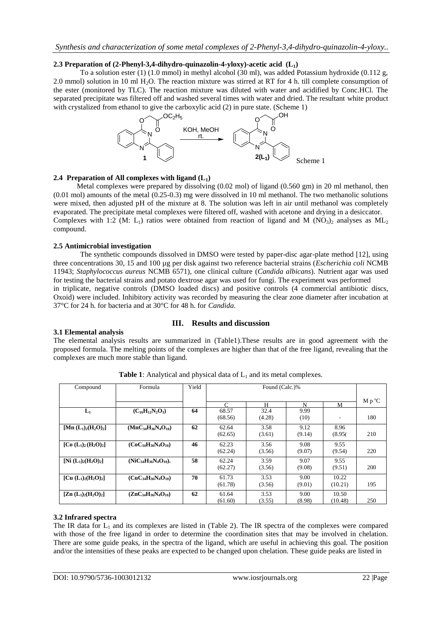## **2.3 Preparation of (2-Phenyl-3,4-dihydro-quinazolin-4-yloxy)-acetic acid (L1)**

To a solution ester (1) (1.0 mmol) in methyl alcohol (30 ml), was added Potassium hydroxide (0.112 g, 2.0 mmol) solution in 10 ml H2O. The reaction mixture was stirred at RT for 4 h. till complete consumption of the ester (monitored by TLC). The reaction mixture was diluted with water and acidified by Conc.HCl. The separated precipitate was filtered off and washed several times with water and dried. The resultant white product with crystalized from ethanol to give the carboxylic acid (2) in pure state. (Scheme 1)



### **2.4 Preparation of All complexes with ligand (L1)**

Metal complexes were prepared by dissolving (0.02 mol) of ligand (0.560 gm) in 20 ml methanol, then (0.01 mol) amounts of the metal (0.25-0.3) mg were dissolved in 10 ml methanol. The two methanolic solutions were mixed, then adjusted pH of the mixture at 8. The solution was left in air until methanol was completely evaporated. The precipitate metal complexes were filtered off, washed with acetone and drying in a desiccator. Complexes with 1:2 (M: L<sub>1</sub>) ratios were obtained from reaction of ligand and M (NO<sub>3</sub>)<sub>2</sub> analyses as ML<sub>2</sub> compound.

## **2.5 Antimicrobial investigation**

The synthetic compounds dissolved in DMSO were tested by paper-disc agar-plate method [12], using three concentrations 30, 15 and 100 µg per disk against two reference bacterial strains (*Escherichia coli* NCMB 11943; *Staphylococcus aureus* NCMB 6571), one clinical culture (*Candida albicans*). Nutrient agar was used for testing the bacterial strains and potato dextrose agar was used for fungi. The experiment was performed in triplicate, negative controls (DMSO loaded discs) and positive controls (4 commercial antibiotic discs, Oxoid) were included. Inhibitory activity was recorded by measuring the clear zone diameter after incubation at 37°C for 24 h. for bacteria and at 30°C for 48 h. for *Candida*.

## **III. Results and discussion**

### **3.1 Elemental analysis**

The elemental analysis results are summarized in (Table1).These results are in good agreement with the proposed formula. The melting points of the complexes are higher than that of the free ligand, revealing that the complexes are much more stable than ligand.

| Compound                                    | Formula                      | Yield |            |        |        |         |                |
|---------------------------------------------|------------------------------|-------|------------|--------|--------|---------|----------------|
|                                             |                              |       |            |        |        |         | $M p^{\circ}C$ |
|                                             |                              |       | $\sqrt{ }$ | н      | N      | М       |                |
| $L_1$                                       | $(C_{16}H_{12}N_2O_3)$       | 64    | 68.57      | 32.4   | 9.99   |         |                |
|                                             |                              |       | (68.56)    | (4.28) | (10)   | ۰       | 180            |
| [Mn $(L_1)_2(H_2O)_2$ ]                     | $(MnC34H36N4O10)$            | 62    | 62.64      | 3.58   | 9.12   | 8.96    |                |
|                                             |                              |       | (62.65)    | (3.61) | (9.14) | (8.95(  | 210            |
|                                             |                              |       |            |        |        |         |                |
| [Co $(L_1)_2$ $(H_2O)_2$ ]                  | $(CoC34H36N4O10)$            | 46    | 62.23      | 3.56   | 9.08   | 9.55    |                |
|                                             |                              |       | (62.24)    | (3.56) | (9.07) | (9.54)  | 220            |
|                                             |                              |       |            |        |        |         |                |
| [Ni $(L_1)_2(H_2O)_2$ ]                     | $(NiC_{34}H_{36}N_4O_{10}).$ | 58    | 62.24      | 3.59   | 9.07   | 9.55    |                |
|                                             |                              |       | (62.27)    | (3.56) | (9.08) | (9.51)  | <b>200</b>     |
|                                             |                              |       |            |        |        |         |                |
| [Cu $(L_1)_2(H_2O)_2$ ]                     | $(CuC_{34}H_{36}N_4O_{10})$  | 70    | 61.73      | 3.53   | 9.00   | 10.22   |                |
|                                             |                              |       | (61.78)    | (3.56) | (9.01) | (10.21) | 195            |
|                                             |                              |       |            |        |        |         |                |
| $[\text{Zn} (L_1)_2(\text{H}_2\text{O})_2]$ | $(ZnC_{34}H_{36}N_4O_{10})$  | 62    | 61.64      | 3.53   | 9.00   | 10.50   |                |
|                                             |                              |       | (61.60)    | (3.55) | (8.98) | (10.48) | 250            |

**Table 1**: Analytical and physical data of  $L_1$  and its metal complexes.

### **3.2 Infrared spectra**

The IR data for  $L_1$  and its complexes are listed in (Table 2). The IR spectra of the complexes were compared with those of the free ligand in order to determine the coordination sites that may be involved in chelation. There are some guide peaks, in the spectra of the ligand, which are useful in achieving this goal. The position and/or the intensities of these peaks are expected to be changed upon chelation. These guide peaks are listed in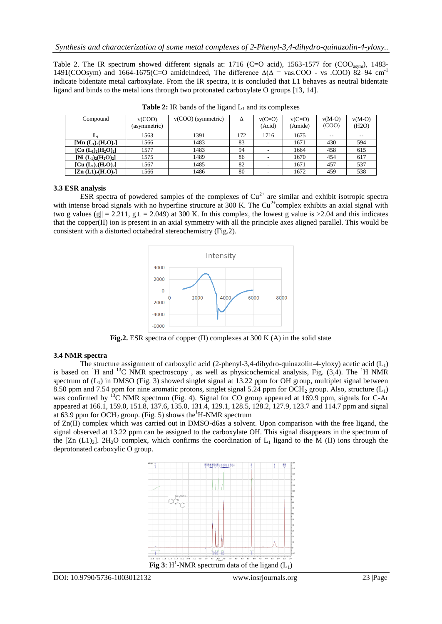Table 2. The IR spectrum showed different signals at: 1716 (C=O acid), 1563-1577 for (COO<sub>ssym</sub>), 1483-1491(COOsym) and 1664-1675(C=O amideIndeed, The difference  $\Delta(\Delta = \text{vas.COO} \cdot \text{vs. COO})$  82–94 cm<sup>-1</sup> indicate bidentate metal carboxylate. From the IR spectra, it is concluded that L1 behaves as neutral bidentate ligand and binds to the metal ions through two protonated carboxylate O groups [13, 14].

| Compound                | v(COO)<br>(asymmetric) | $v(COO)$ (symmetric) | Δ   | $v(C=O)$<br>(Acid) | $v(C=O)$<br>(Amide) | $v(M-O)$<br>(COO) | $v(M-O)$<br>(H2O) |
|-------------------------|------------------------|----------------------|-----|--------------------|---------------------|-------------------|-------------------|
| L1                      | 1563                   | 1391                 | 172 | 1716               | 1675                | $- -$             | $- -$             |
| [Mn $(L_1)_2(H_2O)_2$ ] | 1566                   | 1483                 | 83  |                    | 1671                | 430               | 594               |
| [Co $(L_1)_2(H_2O)_2$ ] | 1577                   | 1483                 | 94  |                    | 1664                | 458               | 615               |
| [Ni $(L_1)_2(H_2O)_2$ ] | 1575                   | 1489                 | 86  |                    | 1670                | 454               | 617               |
| [Cu $(L_1)_2(H_2O)_2$ ] | 1567                   | 1485                 | 82  |                    | 1671                | 457               | 537               |
| $[Zn (L1)2(H2O)2]$      | 1566                   | 1486                 | 80  |                    | 1672                | 459               | 538               |

**Table 2:** IR bands of the ligand  $L_1$  and its complexes

## **3.3 ESR analysis**

ESR spectra of powdered samples of the complexes of  $Cu^{2+}$  are similar and exhibit isotropic spectra with intense broad signals with no hyperfine structure at 300 K. The  $Cu^{2+}$ complex exhibits an axial signal with two g values (g $|| = 2.211$ , g $\perp = 2.049$ ) at 300 K. In this complex, the lowest g value is >2.04 and this indicates that the copper $(II)$  ion is present in an axial symmetry with all the principle axes aligned parallel. This would be consistent with a distorted octahedral stereochemistry (Fig.2).



**Fig.2.** ESR spectra of copper (II) complexes at 300 K (A) in the solid state

### **3.4 NMR spectra**

The structure assignment of carboxylic acid (2-phenyl-3,4-dihydro-quinazolin-4-yloxy) acetic acid ( $L_1$ ) is based on <sup>1</sup>H and <sup>13</sup>C NMR spectroscopy, as well as physicochemical analysis, Fig. (3,4). The <sup>1</sup>H NMR spectrum of  $(L_1)$  in DMSO (Fig. 3) showed singlet signal at 13.22 ppm for OH group, multiplet signal between 8.50 ppm and 7.54 ppm for nine aromatic protons, singlet signal 5.24 ppm for  $OCH_2$  group. Also, structure  $(L_1)$ was confirmed by <sup>13</sup>C NMR spectrum (Fig. 4). Signal for CO group appeared at 169.9 ppm, signals for C-Ar appeared at 166.1, 159.0, 151.8, 137.6, 135.0, 131.4, 129.1, 128.5, 128.2, 127.9, 123.7 and 114.7 ppm and signal at 63.9 ppm for OCH<sub>2</sub> group. (Fig. 5) shows the<sup>1</sup>H-NMR spectrum

of Zn(II) complex which was carried out in DMSO-d6as a solvent. Upon comparison with the free ligand, the signal observed at 13.22 ppm can be assigned to the carboxylate OH. This signal disappears in the spectrum of the  $[Zn (L1)_2]$ . 2H<sub>2</sub>O complex, which confirms the coordination of  $L_1$  ligand to the M (II) ions through the deprotonated carboxylic O group.

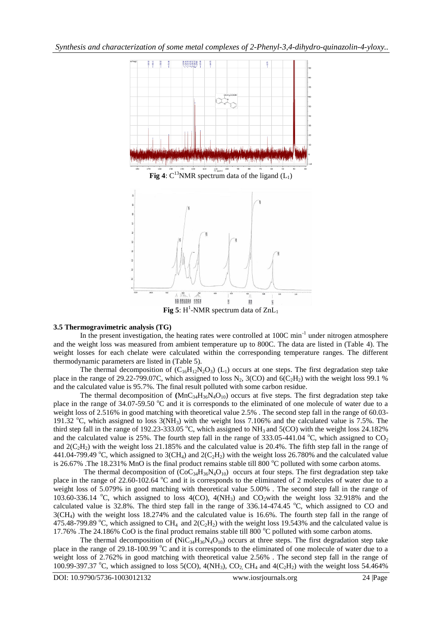

### **3.5 Thermogravimetric analysis (TG)**

In the present investigation, the heating rates were controlled at 100C min<sup>-1</sup> under nitrogen atmosphere and the weight loss was measured from ambient temperature up to 800C. The data are listed in (Table 4). The weight losses for each chelate were calculated within the corresponding temperature ranges. The different thermodynamic parameters are listed in (Table 5).

The thermal decomposition of  $(C_{16}H_{12}N_2O_3)$  (L<sub>1</sub>) occurs at one steps. The first degradation step take place in the range of 29.22-799.07C, which assigned to loss N<sub>2</sub>, 3(CO) and  $6(C_2H_2)$  with the weight loss 99.1 % and the calculated value is 95.7%. The final result polluted with some carbon residue.

The thermal decomposition of  $(MnC_{34}H_{36}N_4O_{10})$  occurs at five steps. The first degradation step take place in the range of  $34.07-59.50$  °C and it is corresponds to the eliminated of one molecule of water due to a weight loss of 2.516% in good matching with theoretical value 2.5%. The second step fall in the range of 60.03-191.32 °C, which assigned to loss  $3(NH_3)$  with the weight loss 7.106% and the calculated value is 7.5%. The third step fall in the range of 192.23-333.05 °C, which assigned to  $NH_3$  and 5(CO) with the weight loss 24.182% and the calculated value is 25%. The fourth step fall in the range of 333.05-441.04  $^{\circ}$ C, which assigned to CO<sub>2</sub> and  $2(C_2H_2)$  with the weight loss 21.185% and the calculated value is 20.4%. The fifth step fall in the range of 441.04-799.49 °C, which assigned to 3(CH<sub>4</sub>) and  $2(C_2H_2)$  with the weight loss 26.780% and the calculated value is 26.67% .The 18.231% MnO is the final product remains stable till 800  $^{\circ}$ C polluted with some carbon atoms.

The thermal decomposition of  $(CoC_{34}H_{36}N_4O_{10})$  occurs at four steps. The first degradation step take place in the range of 22.60-102.64  $\degree$ C and it is corresponds to the eliminated of 2 molecules of water due to a weight loss of 5.079% in good matching with theoretical value 5.00% . The second step fall in the range of 103.60-336.14 °C, which assigned to loss 4(CO),  $4(NH<sub>3</sub>)$  and CO<sub>2</sub>with the weight loss 32.918% and the calculated value is 32.8%. The third step fall in the range of  $336.14-474.45$  °C, which assigned to CO and 3(CH4) with the weight loss 18.274% and the calculated value is 16.6%. The fourth step fall in the range of 475.48-799.89 °C, which assigned to CH<sub>4</sub> and  $2(C_2H_2)$  with the weight loss 19.543% and the calculated value is 17.76% .The 24.186% CoO is the final product remains stable till 800  $^{\circ}$ C polluted with some carbon atoms.

The thermal decomposition of  $(NiC_{34}H_{36}N_4O_{10})$  occurs at three steps. The first degradation step take place in the range of  $29.18-100.99$  °C and it is corresponds to the eliminated of one molecule of water due to a weight loss of 2.762% in good matching with theoretical value 2.56% . The second step fall in the range of 100.99-397.37 °C, which assigned to loss 5(CO),  $4(NH_3)$ , CO<sub>2</sub>, CH<sub>4</sub> and  $4(C_2H_2)$  with the weight loss 54.464%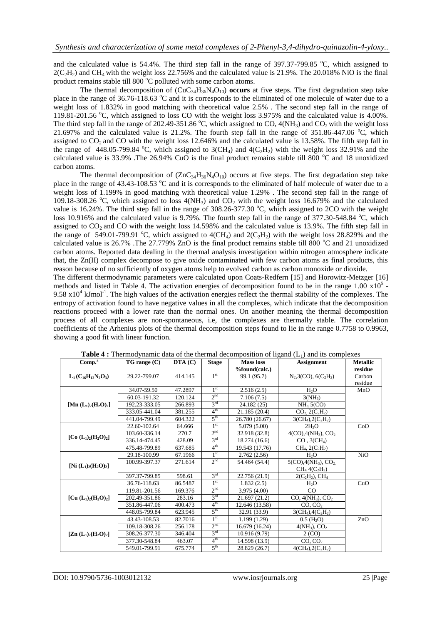and the calculated value is  $54.4\%$ . The third step fall in the range of  $397.37$ -799.85 °C, which assigned to  $2(C_2H_2)$  and CH<sub>4</sub> with the weight loss 22.756% and the calculated value is 21.9%. The 20.018% NiO is the final product remains stable till 800  $^{\circ}$ C polluted with some carbon atoms.

The thermal decomposition of  $(CuC_{34}H_{36}N_4O_{10})$  **occurs** at five steps. The first degradation step take place in the range of 36.76-118.63 °C and it is corresponds to the eliminated of one molecule of water due to a weight loss of 1.832% in good matching with theoretical value 2.5% . The second step fall in the range of 119.81-201.56  $\degree$ C, which assigned to loss CO with the weight loss 3.975% and the calculated value is 4.00%. The third step fall in the range of 202.49-351.86 °C, which assigned to CO,  $4(NH_3)$  and CO<sub>2</sub> with the weight loss 21.697% and the calculated value is 21.2%. The fourth step fall in the range of  $351.86-447.06$  °C, which assigned to  $CO<sub>2</sub>$  and CO with the weight loss 12.646% and the calculated value is 13.58%. The fifth step fall in the range of 448.05-799.84 °C, which assigned to  $3CH_4$ ) and  $4(C_2H_2)$  with the weight loss 32.91% and the calculated value is 33.9% .The 26.94% CuO is the final product remains stable till 800  $^{\circ}$ C and 18 unoxidized carbon atoms.

The thermal decomposition of  $(ZnC_{34}H_{36}N_4O_{10})$  occurs at five steps. The first degradation step take place in the range of  $43.43$ -108.53  $\degree$ C and it is corresponds to the eliminated of half molecule of water due to a weight loss of 1.199% in good matching with theoretical value 1.29% . The second step fall in the range of 109.18-308.26 °C, which assigned to loss  $4(NH_3)$  and  $CO_2$  with the weight loss 16.679% and the calculated value is 16.24%. The third step fall in the range of  $308.26-377.30$  °C, which assigned to 2CO with the weight loss 10.916% and the calculated value is 9.79%. The fourth step fall in the range of 377.30-548.84 °C, which assigned to  $CO<sub>2</sub>$  and CO with the weight loss 14.598% and the calculated value is 13.9%. The fifth step fall in the range of 549.01-799.91 °C, which assigned to  $4(CH_4)$  and  $2(C_2H_2)$  with the weight loss 28.829% and the calculated value is  $26.7\%$ . The  $27.779\%$  ZnO is the final product remains stable till 800  $^{\circ}$ C and 21 unoxidized carbon atoms. Reported data dealing in the thermal analysis investigation within nitrogen atmosphere indicate that, the Zn(II) complex decompose to give oxide contaminated with few carbon atoms as final products, this reason because of no sufficiently of oxygen atoms help to evolved carbon as carbon monoxide or dioxide.

The different thermodynamic parameters were calculated upon Coats-Redfern [15] and Horowitz-Metzger [16] methods and listed in Table 4. The activation energies of decomposition found to be in the range  $1.00 \times 10^5$ .  $9.58 \times 10^4$  kJmol<sup>-1</sup>. The high values of the activation energies reflect the thermal stability of the complexes. The entropy of activation found to have negative values in all the complexes, which indicate that the decomposition reactions proceed with a lower rate than the normal ones. On another meaning the thermal decomposition process of all complexes are non-spontaneous, i.e, the complexes are thermally stable. The correlation coefficients of the Arhenius plots of the thermal decomposition steps found to lie in the range 0.7758 to 0.9963, showing a good fit with linear function.

| Comp. <sup>a</sup>        | $TG$ range $(C)$ | $\mathbf{DTA}(\mathbf{C})$ | <b>Stage</b>    | Mass loss                    | <b>Assignment</b>                                | <b>Metallic</b><br>residue |
|---------------------------|------------------|----------------------------|-----------------|------------------------------|--------------------------------------------------|----------------------------|
| $L_1(C_{16}H_{12}N_2O_3)$ | 29.22-799.07     | 414.145                    | 1 <sup>st</sup> | %found(calc.)<br>99.1 (95.7) | $N_2$ , 3(CO), 6(C <sub>2</sub> H <sub>2</sub> ) | Carbon                     |
|                           |                  |                            |                 |                              |                                                  | residue                    |
|                           | 34.07-59.50      | 47.2897                    | 1 <sup>st</sup> | 2.516(2.5)                   | H <sub>2</sub> O                                 | MnO                        |
|                           | 60.03-191.32     | 120.124                    | 2 <sup>nd</sup> | 7.106(7.5)                   | $3(NH_3)$                                        |                            |
| [Mn $(L_1)_2(H_2O)_2$ ]   | 192.23-333.05    | 266.893                    | 3 <sup>rd</sup> |                              |                                                  |                            |
|                           |                  |                            | 4 <sup>th</sup> | 24.182(25)                   | NH <sub>3</sub> 5(CO)                            |                            |
|                           | 333.05-441.04    | 381.255                    | $5^{\text{th}}$ | 21.185 (20.4)                | $CO_2$ , $2(C_2H_2)$                             |                            |
|                           | 441.04-799.49    | 604.322                    |                 | 26.780 (26.67)               | $3CH_4$ , $2(C_2H_2)$                            |                            |
|                           | 22.60-102.64     | 64.666                     | 1 <sup>st</sup> | 5.079 (5.00)                 | 2H <sub>2</sub> O                                | CoO                        |
| [Co $(L_1)_2(H_2O)_2$ ]   | 103.60-336.14    | 270.7                      | 2 <sup>nd</sup> | 32.918 (32.8)                | $4(CO)$ , $4(NH_3)$ , $CO_2$                     |                            |
|                           | 336.14-474.45    | 428.09                     | 3 <sup>rd</sup> | 18.274(16.6)                 | $CO$ , $3(CH4)$                                  |                            |
|                           | 475.48-799.89    | 637.685                    | 4 <sup>th</sup> | 19.543 (17.76)               | $CH_4$ , 2( $C_2H_2$ )                           |                            |
|                           | 29.18-100.99     | 67.1966                    | 1 <sup>st</sup> | 2.762(2.56)                  | H <sub>2</sub> O                                 | <b>NiO</b>                 |
|                           | 100.99-397.37    | 271.614                    | 2 <sup>nd</sup> | 54.464 (54.4)                | $5(CO)$ , $4(NH_3)$ , $CO_2$                     |                            |
| $[Ni (L_1)_2(H_2O)_2]$    |                  |                            |                 |                              | $CH_4.4(C_2H_2)$                                 |                            |
|                           | 397.37-799.85    | 598.61                     | 3 <sup>rd</sup> | 22.756 (21.9)                | $2(C_2H_2)$ , CH <sub>4</sub>                    |                            |
|                           | 36.76-118.63     | 86.5487                    | 1 <sup>st</sup> | 1.832(2.5)                   | H <sub>2</sub> O                                 | CuO                        |
|                           | 119.81-201.56    | 169.376                    | 2 <sup>nd</sup> | 3.975(4.00)                  | $\rm CO$                                         |                            |
| [Cu $(L_1)_2(H_2O)_2$ ]   | 202.49-351.86    | 283.16                     | 3 <sup>rd</sup> | 21.697(21.2)                 | $CO, 4(NH_3), CO_2$                              |                            |
|                           | 351.86-447.06    | 400.473                    | $4^{\text{th}}$ | 12.646 (13.58)               | CO, CO <sub>2</sub>                              |                            |
|                           | 448.05-799.84    | 623.945                    | $5^{\text{th}}$ | 32.91 (33.9)                 | $3CH_4$ , $4(C_2H_2)$                            |                            |
|                           | 43.43-108.53     | 82.7016                    | 1 <sup>st</sup> | 1.199(1.29)                  | $0.5$ (H <sub>2</sub> O)                         | ZnO                        |
|                           | 109.18-308.26    | 256.178                    | 2 <sup>nd</sup> | 16.679 (16.24)               | $4(NH_3)$ , $CO_2$                               |                            |
| $[Zn (L_1)_2(H_2O)_2]$    | 308.26-377.30    | 346.404                    | 3 <sup>rd</sup> | 10.916 (9.79)                | 2(CO)                                            |                            |
|                           | 377.30-548.84    | 463.07                     | $4^{\rm th}$    | 14.598 (13.9)                | CO, CO <sub>2</sub>                              |                            |
|                           | 549.01-799.91    | 675.774                    | 5 <sup>th</sup> | 28.829 (26.7)                | $4(CH_4), 2(C_2H_2)$                             |                            |

**Table 4 :** Thermodynamic data of the thermal decomposition of ligand (L<sub>1</sub>) and its complexes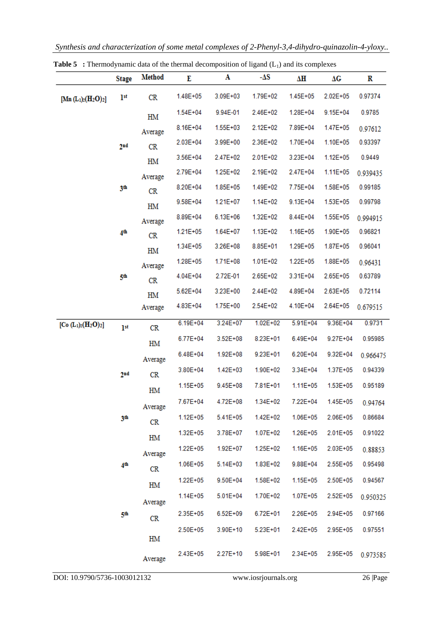|                              | <b>Stage</b>    | <b>Method</b> | E            | A            | $-\Delta S$          | ΔΗ           | ΔG           | R         |
|------------------------------|-----------------|---------------|--------------|--------------|----------------------|--------------|--------------|-----------|
| [Mn $(L_1)_2(H_2O)_2$ ]      | 1 <sup>st</sup> | CR            | $1.48E + 05$ | $3.09E + 03$ | 1.79E+02             | 1.45E+05     | $2.02E + 05$ | 0.97374   |
|                              |                 | HM            | $1.54E + 04$ | 9.94E-01     | 2.46E+02             | 1.28E+04     | $9.15E + 04$ | 0.9785    |
|                              |                 | Average       | $8.16E + 04$ | $1.55E + 03$ | $2.12E + 02$         | 7.89E+04     | 1.47E+05     | 0.97612   |
|                              | 2 <sub>nd</sub> | CR            | $2.03E + 04$ | 3.99E+00     | 2.36E+02             | 1.70E+04     | $1.10E + 05$ | 0.93397   |
|                              |                 | HM            | $3.56E + 04$ | 2.47E+02     | $2.01E + 02$         | $3.23E + 04$ | $1.12E + 05$ | 0.9449    |
|                              |                 | Average       | 2.79E+04     | 1.25E+02     | 2.19E+02             | 2.47E+04     | 1.11E+05     | 0.939435  |
|                              | 3th             | CR            | 8.20E+04     | $1.85E + 05$ | 1.49E+02             | 7.75E+04     | $1.58E + 05$ | 0.99185   |
|                              |                 | HM            | 9.58E+04     | $1.21E+07$   | 1.14E+02             | $9.13E + 04$ | 1.53E+05     | 0.99798   |
|                              |                 | Average       | 8.89E+04     | $6.13E + 06$ | 1.32E+02             | 8.44E+04     | $1.55E + 05$ | 0.994915  |
|                              | 4 <sup>th</sup> | CR            | $1.21E + 05$ | $1.64E+07$   | 1.13E+02             | 1.16E+05     | 1.90E+05     | 0.96821   |
|                              |                 | HM            | $1.34E + 05$ | 3.26E+08     | 8.85E+01             | 1.29E+05     | 1.87E+05     | 0.96041   |
|                              |                 | Average       | 1.28E+05     | $1.71E + 08$ | $1.01E + 02$         | $1.22E + 05$ | 1.88E+05     | 0.96431   |
|                              | 5th             | CR            | $4.04E + 04$ | 2.72E-01     | 2.65E+02             | 3.31E+04     | 2.65E+05     | 0.63789   |
|                              |                 | HM            | $5.62E + 04$ | $3.23E + 00$ | 2.44E+02             | 4.89E+04     | $2.63E + 05$ | 0.72114   |
|                              |                 | Average       | 4.83E+04     | 1.75E+00     | 2.54E+02             | 4.10E+04     | 2.64E+05     | 0.679515  |
| [Co $(L_1)_2(H_2O)_2$ ]      | 1 <sup>st</sup> | CR            | $6.19E + 04$ | $3.24E + 07$ | $1.02E + 02$         | $5.91E + 04$ | $9.36E + 04$ | 0.9731    |
|                              |                 | HM            | $6.77E + 04$ | $3.52E + 08$ | 8.23E+01             | $6.49E + 04$ | $9.27E + 04$ | 0.95985   |
|                              |                 | Average       | $6.48E + 04$ | $1.92E + 08$ | $9.23E + 01$         | $6.20E + 04$ | $9.32E + 04$ | 0.966475  |
|                              | 2 <sub>nd</sub> | CR            | 3.80E+04     | $1.42E + 03$ | 1.90E+02             | 3.34E+04     | 1.37E+05     | 0.94339   |
|                              |                 | HM            | $1.15E + 05$ | $9.45E + 08$ | 7.81E+01             | $1.11E + 05$ | $1.53E + 05$ | 0.95189   |
|                              |                 |               | 7.67E+04     | 4.72E+08     | 1.34E+02             | 7.22E+04     | $1.45E + 05$ | 0.94764   |
|                              | 3th             | Average       | $1.12E + 05$ | $5.41E + 05$ | 1.42E+02             | $1.06E + 05$ | 2.06E+05     | 0.86684   |
|                              |                 | CR            | $1.32E + 05$ | 3.78E+07     | 1.07E+02             | 1.26E+05     | $2.01E + 05$ | 0.91022   |
|                              |                 | HM            | 1.22E+05     | 1.92E+07     | 1.25E+02             | 1.16E+05     | 2.03E+05     | 0.88853   |
|                              | 4 <sup>th</sup> | Average       | 1.06E+05     | 5.14E+03     | 1.83E+02             | 9.88E+04     | 2.55E+05     | 0.95498   |
|                              |                 | CR            | $1.22E + 05$ | 9.50E+04     | 1.58E+02             | 1.15E+05     | 2.50E+05     | 0.94567   |
|                              |                 | HM            | $1.14E + 05$ | $5.01E + 04$ | 1.70E+02             | 1.07E+05     | $2.52E+05$   | 0.950325  |
|                              |                 | Average       |              |              |                      |              |              |           |
|                              | 5th             | CR            | 2.35E+05     | 6.52E+09     | $6.72E + 01$         | 2.26E+05     | 2.94E+05     | 0.97166   |
|                              |                 | HM            | 2.50E+05     | 3.90E+10     | 5.23E+01             | 2.42E+05     | 2.95E+05     | 0.97551   |
|                              |                 | Average       | 2.43E+05     | 2.27E+10     | 5.98E+01             | 2.34E+05     | $2.95E + 05$ | 0.973585  |
| DOI: 10.9790/5736-1003012132 |                 |               |              |              | www.iosrjournals.org |              |              | 26   Page |

**Table 5** : Thermodynamic data of the thermal decomposition of ligand (L<sub>1</sub>) and its complexes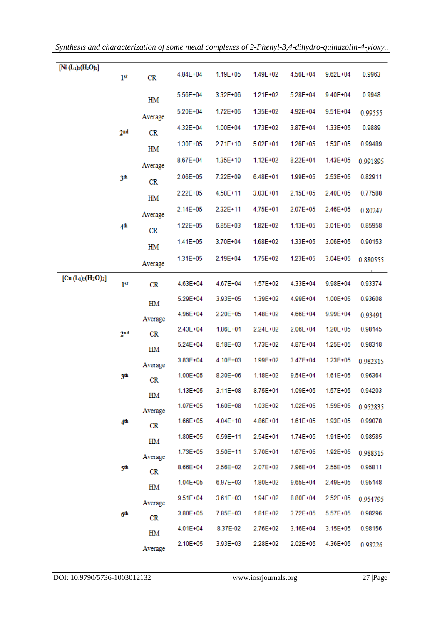| [Ni $(L_1)_2(H_2O)_2$ ] | 1 <sup>st</sup> | CR      | 4.84E+04      | 1.19E+05     | 1.49E+02     | 4.56E+04     | $9.62E + 04$ | 0.9963   |
|-------------------------|-----------------|---------|---------------|--------------|--------------|--------------|--------------|----------|
|                         |                 | HM      | 5.56E+04      | 3.32E+06     | $1.21E + 02$ | 5.28E+04     | $9.40E + 04$ | 0.9948   |
|                         |                 | Average | 5.20E+04      | $1.72E + 06$ | 1.35E+02     | $4.92E + 04$ | $9.51E + 04$ | 0.99555  |
|                         | 2 <sub>nd</sub> | CR      | $4.32E + 04$  | $1.00E + 04$ | 1.73E+02     | 3.87E+04     | 1.33E+05     | 0.9889   |
|                         |                 | HM      | $1.30E + 05$  | $2.71E+10$   | $5.02E + 01$ | 1.26E+05     | $1.53E + 05$ | 0.99489  |
|                         |                 | Average | 8.67E+04      | $1.35E+10$   | $1.12E + 02$ | $8.22E + 04$ | $1.43E + 05$ | 0.991895 |
|                         | 3th             | CR      | $2.06E + 05$  | 7.22E+09     | $6.48E + 01$ | $1.99E + 05$ | $2.53E + 05$ | 0.82911  |
|                         |                 | HM      | 2.22E+05      | 4.58E+11     | $3.03E + 01$ | $2.15E + 05$ | 2.40E+05     | 0.77588  |
|                         |                 | Average | $2.14E + 05$  | 2.32E+11     | 4.75E+01     | 2.07E+05     | $2.46E + 05$ | 0.80247  |
|                         | 4 <sup>th</sup> | CR      | $1.22E + 05$  | $6.85E + 03$ | 1.82E+02     | 1.13E+05     | $3.01E + 05$ | 0.85958  |
|                         |                 | HM      | $1.41E + 05$  | 3.70E+04     | 1.68E+02     | 1.33E+05     | $3.06E + 05$ | 0.90153  |
|                         |                 | Average | $1.31E + 0.5$ | 2.19E+04     | $1.75E + 02$ | 1.23E+05     | $3.04E + 05$ | 0.880555 |
| $[Cu (L1)2(H2O)2]$      | 1 <sup>st</sup> | CR      | 4.63E+04      | 4.67E+04     | 1.57E+02     | 4.33E+04     | 9.98E+04     | 0.93374  |
|                         |                 | HM      | $5.29E + 04$  | 3.93E+05     | 1.39E+02     | 4.99E+04     | $1.00E + 05$ | 0.93608  |
|                         |                 | Average | $4.96E + 04$  | 2.20E+05     | 1.48E+02     | 4.66E+04     | 9.99E+04     | 0.93491  |
|                         | 2 <sub>nd</sub> | CR      | $2.43E + 04$  | $1.86E + 01$ | 2.24E+02     | $2.06E + 04$ | $1.20E + 05$ | 0.98145  |
|                         |                 | HM      | $5.24E + 04$  | 8.18E+03     | 1.73E+02     | 4.87E+04     | $1.25E + 05$ | 0.98318  |
|                         |                 | Average | $3.83E + 04$  | 4.10E+03     | 1.99E+02     | $3.47E + 04$ | $1.23E + 05$ | 0.982315 |
|                         | зth             | CR      | $1.00E + 05$  | 8.30E+06     | $1.18E + 02$ | $9.54E + 04$ | $1.61E + 05$ | 0.96364  |
|                         |                 | HM      | 1.13E+05      | $3.11E + 08$ | 8.75E+01     | $1.09E + 05$ | $1.57E + 05$ | 0.94203  |
|                         |                 | Average | $1.07E + 05$  | $1.60E + 08$ | $1.03E + 02$ | $1.02E + 05$ | 1.59E+05     | 0.952835 |
|                         | 4 <sup>th</sup> | CR      | 1.66E+05      | 4.04E+10     | 4.86E+01     | $1.61E + 05$ | 1.93E+05     | 0.99078  |
|                         |                 | HM      | $1.80E + 05$  | 6.59E+11     | 2.54E+01     | $1.74E + 05$ | $1.91E + 05$ | 0.98585  |
|                         |                 | Average | $1.73E + 05$  | $3.50E+11$   | 3.70E+01     | 1.67E+05     | 1.92E+05     | 0.988315 |
|                         | 5th             | CR      | $8.66E + 04$  | 2.56E+02     | 2.07E+02     | 7.96E+04     | $2.55E+05$   | 0.95811  |
|                         |                 | HM      | $1.04E + 05$  | $6.97E + 03$ | 1.80E+02     | $9.65E + 04$ | $2.49E + 05$ | 0.95148  |
|                         |                 | Average | $9.51E + 04$  | $3.61E + 03$ | 1.94E+02     | 8.80E+04     | $2.52E+05$   | 0.954795 |
|                         | бth             | CR      | $3.80E + 05$  | 7.85E+03     | $1.81E + 02$ | $3.72E + 05$ | $5.57E + 05$ | 0.98296  |
|                         |                 | HM      | $4.01E + 04$  | 8.37E-02     | 2.76E+02     | $3.16E + 04$ | $3.15E + 05$ | 0.98156  |
|                         |                 | Average | $2.10E + 05$  | $3.93E + 03$ | 2.28E+02     | $2.02E + 05$ | 4.36E+05     | 0.98226  |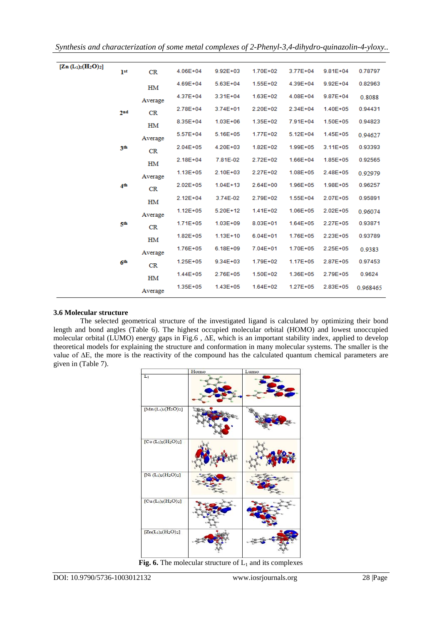| $[Zn (L_1)_2(H_2O)_2]$ | 1 <sup>st</sup> | CR      | $4.06E + 04$ | $9.92E + 03$ | 1.70E+02     | $3.77E + 04$ | $9.81E + 04$ | 0.78797  |
|------------------------|-----------------|---------|--------------|--------------|--------------|--------------|--------------|----------|
|                        |                 | HМ      | $4.69E + 04$ | $5.63E + 04$ | $1.55E + 02$ | 4.39E+04     | $9.92E + 04$ | 0.82963  |
|                        |                 | Average | 4.37E+04     | $3.31E + 04$ | $1.63E + 02$ | $4.08E + 04$ | $9.87E + 04$ | 0.8088   |
|                        | 2 <sub>nd</sub> | CR      | 2.78E+04     | $3.74E + 01$ | 2.20E+02     | 2.34E+04     | $1.40E + 05$ | 0.94431  |
|                        |                 | HM      | $8.35E + 04$ | $1.03E + 06$ | $1.35E + 02$ | 7.91E+04     | $1.50E + 05$ | 0.94823  |
|                        |                 | Average | $5.57E+04$   | $5.16E + 05$ | 1.77E+02     | $5.12E + 04$ | $1.45E + 05$ | 0.94627  |
|                        | 3th             | CR      | $2.04E + 05$ | $4.20E + 03$ | $1.82E + 02$ | $1.99E + 05$ | $3.11E + 05$ | 0.93393  |
|                        |                 | HM      | $2.18E + 04$ | 7.81E-02     | 2.72E+02     | $1.66E + 04$ | $1.85E + 05$ | 0.92565  |
|                        |                 | Average | $1.13E + 05$ | $2.10E + 03$ | 2.27E+02     | $1.08E + 05$ | $2.48E + 05$ | 0.92979  |
|                        | 4 <sup>th</sup> | CR      | $2.02E + 05$ | $1.04E+13$   | $2.64E + 00$ | $1.96E + 05$ | $1.98E + 05$ | 0.96257  |
|                        |                 | HM      | $2.12E + 04$ | 3.74E-02     | 2.79E+02     | $1.55E + 04$ | $2.07E + 05$ | 0.95891  |
|                        |                 | Average | $1.12E + 05$ | 5.20E+12     | $1.41E + 02$ | $1.06E + 05$ | $2.02E + 05$ | 0.96074  |
|                        | 5th             | CR      | $1.71E + 05$ | $1.03E + 09$ | $8.03E + 01$ | $1.64E + 05$ | $2.27E + 05$ | 0.93871  |
|                        |                 | HM      | $1.82E + 05$ | $1.13E+10$   | $6.04E + 01$ | $1.76E + 05$ | $2.23E + 05$ | 0.93789  |
|                        |                 | Average | $1.76E + 05$ | $6.18E + 09$ | 7.04E+01     | 1.70E+05     | $2.25E + 05$ | 0.9383   |
|                        | 6 <sup>th</sup> | CR      | $1.25E + 05$ | $9.34E + 03$ | 1.79E+02     | $1.17E + 05$ | $2.87E + 05$ | 0.97453  |
|                        |                 | HM      | $1.44E + 05$ | 2.76E+05     | $1.50E + 02$ | $1.36E + 05$ | 2.79E+05     | 0.9624   |
|                        |                 | Average | $1.35E + 05$ | $1.43E + 05$ | $1.64E + 02$ | $1.27E + 05$ | 2.83E+05     | 0.968465 |

## **3.6 Molecular structure**

The selected geometrical structure of the investigated ligand is calculated by optimizing their bond length and bond angles (Table 6). The highest occupied molecular orbital (HOMO) and lowest unoccupied molecular orbital (LUMO) energy gaps in Fig.6 , ∆E, which is an important stability index, applied to develop theoretical models for explaining the structure and conformation in many molecular systems. The smaller is the value of ∆E, the more is the reactivity of the compound has the calculated quantum chemical parameters are given in (Table 7).

|                                               | Homo | Lumo |
|-----------------------------------------------|------|------|
| $L_1$                                         |      |      |
| $[{\rm Mn}({\rm L}_1)_2({\rm H}_2{\rm O})_2]$ |      |      |
| $[Co (L1)2(H2O)2]$                            |      |      |
| [Ni $(L_1)_2(H_2O)_2$ ]                       |      |      |
| $[Cu(L1)2(H2O)2]$                             |      |      |
| $[Zn(L_1)_2(H_2O)_2]$                         |      |      |

**Fig. 6.** The molecular structure of  $L_1$  and its complexes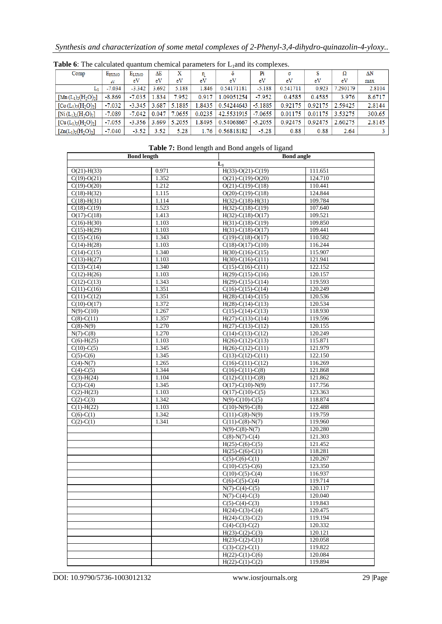|  |  |  | Synthesis and characterization of some metal complexes of 2-Phenyl-3,4-dihydro-quinazolin-4-yloxy |  |  |  |  |
|--|--|--|---------------------------------------------------------------------------------------------------|--|--|--|--|
|  |  |  |                                                                                                   |  |  |  |  |
|  |  |  |                                                                                                   |  |  |  |  |
|  |  |  |                                                                                                   |  |  |  |  |

| Comp                               | EHUMO    | ELUMO    | ΔE    | x      |        |            | Pi        | σ        |         |          | ΔΝ     |
|------------------------------------|----------|----------|-------|--------|--------|------------|-----------|----------|---------|----------|--------|
|                                    | eV       | eV       | eV    | eV     | eV     | eV         | eV        | eV       | eV      | eV       | max    |
| Ш٠                                 | $-7.034$ | $-3.342$ | .692  | 5.188  | 1.846  | 0.54171181 | $-5.188$  | 0.541711 | 0.923   | 7.290179 | 2.8104 |
| $[{\rm Mn} (L_1)_2({\rm H}_2O)_2]$ | $-8.869$ | $-7.035$ | .834  | 7.952  | 0.917  | 1.09051254 | $-7.952$  | 0.4585   | 0.4585  | 3.976    | 8.6717 |
| $[Co(L1)2(H2O)2]$                  | $-7.032$ | $-3.345$ | 3.687 | 5.1885 | 1.8435 | 0.54244643 | $-5.1885$ | 0.92175  | 0.92175 | 2.59425  | 2.8144 |
| $[Ni(L_1)_2(H_2O)_2]$              | $-7.089$ | $-7.042$ | 0.047 | 7.0655 | 0.0235 | 42.5531915 | $-7.0655$ | 0.01175  | 0.01175 | 3.53275  | 300.65 |
| $[Cu (L1)2(H2O)2]$                 | $-7.055$ | $-3.356$ | 3.699 | 5.2055 | .8495  | 0.54068667 | $-5.2055$ | 0.92475  | 0.92475 | 2.60275  | 2.8145 |
| $[Zn(L_1)_2(H_2O)_2]$              | $-7.040$ | $-3.52$  | 3.52  | 5.28   | 1.76   | 0.56818182 | $-5.28$   | 0.88     | 0.88    | 2.64     |        |

**Table 6**: The calculated quantum chemical parameters for L<sub>1</sub>and its complexes.

|                           | <b>Bond length</b> | <b>Table 1.</b> Dong length and Dong angels of figure | <b>Bond angle</b> |  |
|---------------------------|--------------------|-------------------------------------------------------|-------------------|--|
|                           |                    | $L_1$                                                 |                   |  |
| $O(21) - H(33)$           | 0.971              | $H(33)-O(21)-C(19)$                                   | 111.651           |  |
| $C(19)-O(21)$             | 1.352              | $O(21) - C(19) - O(20)$                               | 124.710           |  |
| $C(19)-O(20)$             | 1.212              | $O(21)$ -C(19)-C(18)                                  | 110.441           |  |
| $C(18) - H(32)$           | 1.115              | $O(20)$ -C(19)-C(18)                                  | 124.844           |  |
| $C(18) - H(31)$           | 1.114              | $H(32)-C(18)-H(31)$                                   | 109.784           |  |
| $C(18)-C(19)$             | 1.523              | $H(32)-C(18)-C(19)$                                   | 107.640           |  |
| $O(17) - C(18)$           | 1.413              | $H(32)-C(18)-O(17)$                                   | 109.521           |  |
| $C(16)-H(30)$             | 1.103              | $H(31)-C(18)-C(19)$                                   | 109.850           |  |
| $C(15) - H(29)$           | 1.103              | $H(31)-C(18)-O(17)$                                   | 109.441           |  |
| $C(15)-C(16)$             | 1.343              | $C(19)-C(18)-O(17)$                                   | 110.582           |  |
| $C(14) - H(28)$           | 1.103              | $C(18)-O(17)-C(10)$                                   | 116.244           |  |
| $\overline{C(14)}$ -C(15) | 1.340              | $H(30)-C(16)-C(15)$                                   | 115.907           |  |
| $C(13) - H(27)$           | 1.103              | $H(30)-C(16)-C(11)$                                   | 121.941           |  |
| $C(13)-C(14)$             | 1.340              | $C(15)-C(16)-C(11)$                                   | 122.152           |  |
| $C(12) - H(26)$           | 1.103              | $H(29)-C(15)-C(16)$                                   | 120.157           |  |
| $C(12)-C(13)$             | 1.343              | $H(29)-C(15)-C(14)$                                   | 119.593           |  |
| $C(11)-C(16)$             | 1.351              | $C(16)-C(15)-C(14)$                                   | 120.249           |  |
| $C(11)-C(12)$             | 1.351              | $H(28)-C(14)-C(15)$                                   | 120.536           |  |
| $C(10)-O(17)$             | 1.372              | $H(28)-C(14)-C(13)$                                   | 120.534           |  |
| $N(9)-C(10)$              | 1.267              | $C(15)-C(14)-C(13)$                                   | 118.930           |  |
| $C(8)-C(11)$              | 1.357              | $H(27)$ -C(13)-C(14)                                  | 119.596           |  |
| $C(8)-N(9)$               | 1.270              | $H(27)-C(13)-C(12)$                                   | 120.155           |  |
| $N(7)-C(8)$               | 1.270              | $C(14)-C(13)-C(12)$                                   | 120.249           |  |
| $C(6)-H(25)$              | 1.103              | $H(26)-C(12)-C(13)$                                   | 115.871           |  |
| $C(10)-C(5)$              | 1.345              | $H(26)-C(12)-C(11)$                                   | 121.979           |  |
| $C(5)-C(6)$               | 1.345              | $C(13)-C(12)-C(11)$                                   | 122.150           |  |
| $C(4)-N(7)$               | 1.265              | $C(16)-C(11)-C(12)$                                   | 116.269           |  |
| $C(4)-C(5)$               | 1.344              | $C(16)-C(11)-C(8)$                                    | 121.868           |  |
| $C(3)-H(24)$              | 1.104              | $C(12)-C(11)-C(8)$                                    | 121.862           |  |
| $C(3)-C(4)$               | 1.345              | $O(17) - C(10) - N(9)$                                | 117.756           |  |
| $C(2)-H(23)$              | 1.103              | $O(17) - C(10) - C(5)$                                | 123.363           |  |
| $C(2)-C(3)$               | 1.342              | $N(9)-C(10)-C(5)$                                     | 118.874           |  |
| $C(1)$ -H $(22)$          | 1.103              | $C(10)-N(9)-C(8)$                                     | 122.488           |  |
| $C(6)-C(1)$               | 1.342              | $C(11)-C(8)-N(9)$                                     | 119.759           |  |
| $C(2)-C(1)$               | 1.341              | $C(11)-C(8)-N(7)$                                     | 119.960           |  |
|                           |                    | $N(9)$ -C(8)-N(7)                                     | 120.280           |  |
|                           |                    | $C(8)-N(7)-C(4)$                                      | 121.303           |  |
|                           |                    | $H(25)-C(6)-C(5)$                                     | 121.452           |  |
|                           |                    | $H(25)-C(6)-C(1)$                                     | 118.281           |  |
|                           |                    | $C(5)-C(6)-C(1)$                                      | 120.267           |  |
|                           |                    | $\overline{C(10)}$ -C(5)-C(6)                         | 123.350           |  |
|                           |                    | $C(10)-C(5)-C(4)$                                     | 116.937           |  |
|                           |                    | $C(6)-C(5)-C(4)$                                      | 119.714           |  |
|                           |                    | $N(7)-C(4)-C(5)$                                      | 120.117           |  |
|                           |                    | $N(7)-C(4)-C(3)$                                      | 120.040           |  |
|                           |                    | $C(5)-C(4)-C(3)$                                      | 119.843           |  |
|                           |                    | $H(24)-C(3)-C(4)$                                     | 120.475           |  |
|                           |                    | $H(24)-C(3)-C(2)$                                     | 119.194           |  |
|                           |                    | $C(4)-C(3)-C(2)$                                      | 120.332           |  |
|                           |                    | $H(23)-C(2)-C(3)$                                     | 120.121           |  |
|                           |                    | $H(23)-C(2)-C(1)$                                     | 120.058           |  |
|                           |                    | $C(3)-C(2)-C(1)$                                      | 119.822           |  |
|                           |                    | $H(22)-C(1)-C(6)$                                     | 120.084           |  |
|                           |                    | $H(22)-C(1)-C(2)$                                     | 119.894           |  |
|                           |                    |                                                       |                   |  |

**Table 7:** Bond length and Bond angels of ligand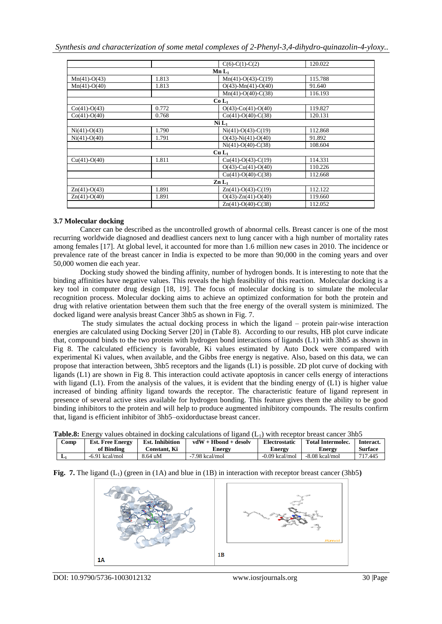|                |       | $C(6)-C(1)-C(2)$             | 120.022 |
|----------------|-------|------------------------------|---------|
|                |       | $Mn L_1$                     |         |
| $Mn(41)-O(43)$ | 1.813 | $Mn(41)-O(43)-C(19)$         | 115.788 |
| $Mn(41)-O(40)$ | 1.813 | $O(43)$ -Mn $(41)$ -O $(40)$ | 91.640  |
|                |       | $Mn(41)-O(40)-C(38)$         | 116.193 |
|                |       | $Co L_1$                     |         |
| $Co(41)-O(43)$ | 0.772 | $O(43)$ - $Co(41)$ - $O(40)$ | 119.827 |
| $Co(41)-O(40)$ | 0.768 | $Co(41)-O(40)-C(38)$         | 120.131 |
|                |       | Ni L <sub>1</sub>            |         |
| $Ni(41)-O(43)$ | 1.790 | $Ni(41)-O(43)-C(19)$         | 112.868 |
| $Ni(41)-O(40)$ | 1.791 | $O(43)$ -Ni $(41)$ -O $(40)$ | 91.892  |
|                |       | $Ni(41)-O(40)-C(38)$         | 108.604 |
|                |       | $Cu L_1$                     |         |
| $Cu(41)-O(40)$ | 1.811 | $Cu(41)-O(43)-C(19)$         | 114.331 |
|                |       | $O(43)$ -Cu(41)-O(40)        | 110.226 |
|                |       | $Cu(41)-O(40)-C(38)$         | 112.668 |
|                |       | $\mathbf{Zn}$ $\mathbf{L}_1$ |         |
| $Zn(41)-O(43)$ | 1.891 | $Zn(41)-O(43)-C(19)$         | 112.122 |
| $Zn(41)-O(40)$ | 1.891 | $O(43)$ -Zn $(41)$ -O $(40)$ | 119.660 |
|                |       | $Zn(41)-O(40)-C(38)$         | 112.052 |

#### **3.7 Molecular docking**

Cancer can be described as the uncontrolled growth of abnormal cells. Breast cancer is one of the most recurring worldwide diagnosed and deadliest cancers next to lung cancer with a high number of mortality rates among females [17]. At global level, it accounted for more than 1.6 million new cases in 2010. The incidence or prevalence rate of the breast cancer in India is expected to be more than 90,000 in the coming years and over 50,000 women die each year.

Docking study showed the binding affinity, number of hydrogen bonds. It is interesting to note that the binding affinities have negative values. This reveals the high feasibility of this reaction. Molecular docking is a key tool in computer drug design [18, 19]. The focus of molecular docking is to simulate the molecular recognition process. Molecular docking aims to achieve an optimized conformation for both the protein and drug with relative orientation between them such that the free energy of the overall system is minimized. The docked ligand were analysis breast Cancer 3hb5 as shown in Fig. 7.

The study simulates the actual docking process in which the ligand – protein pair-wise interaction energies are calculated using Docking Server [20] in (Table 8). According to our results, HB plot curve indicate that, compound binds to the two protein with hydrogen bond interactions of ligands (L1) with 3hb5 as shown in Fig 8. The calculated efficiency is favorable, Ki values estimated by Auto Dock were compared with experimental Ki values, when available, and the Gibbs free energy is negative. Also, based on this data, we can propose that interaction between, 3hb5 receptors and the ligands (L1) is possible. 2D plot curve of docking with ligands (L1) are shown in Fig 8. This interaction could activate apoptosis in cancer cells energy of interactions with ligand (L1). From the analysis of the values, it is evident that the binding energy of (L1) is higher value increased of binding affinity ligand towards the receptor. The characteristic feature of ligand represent in presence of several active sites available for hydrogen bonding. This feature gives them the ability to be good binding inhibitors to the protein and will help to produce augmented inhibitory compounds. The results confirm that, ligand is efficient inhibitor of 3hb5–oxidorductase breast cancer.

| Table.8: Energy values obtained in docking calculations of ligand $(L1)$ with receptor breast cancer 3hb5 |  |  |  |
|-----------------------------------------------------------------------------------------------------------|--|--|--|
|-----------------------------------------------------------------------------------------------------------|--|--|--|

| Comp | <b>Est. Free Energy</b> | <b>Est. Inhibition</b> | $vdW + Hbond + desolv$ | Electrostatic    | <b>Total Intermolec.</b> | Interact.      |
|------|-------------------------|------------------------|------------------------|------------------|--------------------------|----------------|
|      | of Binding              | C <b>onstant. Ki</b>   | Energy                 | Energy           | Energy                   | <b>Surface</b> |
| JJ 1 | $-6.91$ kcal/mol        | 8.64 uM                | $-7.98$ kcal/mol       | $-0.09$ kcal/mol | -8.08 kcal/mol           | 717.445        |

### **Fig. 7.** The ligand  $(L_1)$  (green in (1A) and blue in (1B) in interaction with receptor breast cancer (3hb5)

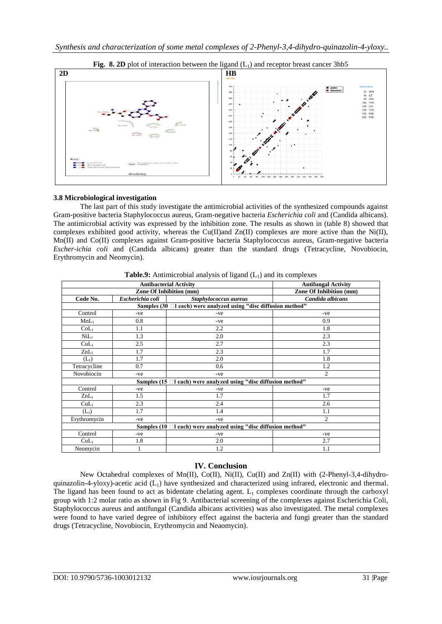



## **3.8 Microbiological investigation**

The last part of this study investigate the antimicrobial activities of the synthesized compounds against Gram-positive bacteria Staphylococcus aureus, Gram-negative bacteria *Escherichia coli* and (Candida albicans). The antimicrobial activity was expressed by the inhibition zone. The results as shown in (table 8) showed that complexes exhibited good activity, whereas the  $Cu(II)$  and  $Zn(II)$  complexes are more active than the Ni(II), Mn(II) and Co(II) complexes against Gram-positive bacteria Staphylococcus aureus, Gram-negative bacteria *Escher-ichia coli* and (Candida albicans) greater than the standard drugs (Tetracycline, Novobiocin, Erythromycin and Neomycin).

|                                                                   | <b>Antibacterial Activity</b>  | <b>Antifungal Activity</b>     |                  |  |  |  |  |
|-------------------------------------------------------------------|--------------------------------|--------------------------------|------------------|--|--|--|--|
|                                                                   | <b>Zone Of Inhibition (mm)</b> | <b>Zone Of Inhibition (mm)</b> |                  |  |  |  |  |
| Code No.                                                          | Escherichia coli               | Staphylococcus aureus          | Candida albicans |  |  |  |  |
| Samples (30 □ l each) were analyzed using "disc diffusion method" |                                |                                |                  |  |  |  |  |
| Control                                                           | -ve                            | -ve                            | -ve              |  |  |  |  |
| $MnL_1$                                                           | 0.8                            | -ve                            | 0.9              |  |  |  |  |
| CoL <sub>1</sub>                                                  | 1.1                            | 2.2                            | 1.8              |  |  |  |  |
| NiL <sub>1</sub>                                                  | 1.3                            | 2.0                            | 2.3              |  |  |  |  |
| CuL <sub>1</sub>                                                  | 2.5                            | 2.7                            | 2.3              |  |  |  |  |
| $ZnL_1$                                                           | 1.7                            | 2.3                            | 1.7              |  |  |  |  |
| $(L_1)$                                                           | 1.7                            | 2.0                            | 1.8              |  |  |  |  |
| Tetracycline                                                      | 0.7                            | 0.6                            | 1.2              |  |  |  |  |
| Novobiocin                                                        | -ve                            | -ve                            | 2                |  |  |  |  |
| Samples (15 □I each) were analyzed using "disc diffusion method"  |                                |                                |                  |  |  |  |  |
| Control                                                           | -ve                            | -ve                            | -ve              |  |  |  |  |
| $ZnL_1$                                                           | 1.5                            | 1.7                            | 1.7              |  |  |  |  |
| CuL <sub>1</sub>                                                  | 2.3                            | 2.4                            | 2.6              |  |  |  |  |
| $(L_1)$                                                           | 1.7                            | 1.4                            | 1.1              |  |  |  |  |
| Erythromycin                                                      | -ve                            | -ve                            | 2                |  |  |  |  |
| Samples (10 □l each) were analyzed using "disc diffusion method"  |                                |                                |                  |  |  |  |  |
| Control                                                           | -ve                            | -ve                            | $-ve$            |  |  |  |  |
| CuL <sub>1</sub>                                                  | 1.8                            | 2.0                            | 2.7              |  |  |  |  |
| Neomycin                                                          | 1                              | 1.2                            | 1.1              |  |  |  |  |

**Table.9:** Antimicrobial analysis of ligand  $(L_1)$  and its complexes

# **IV. Conclusion**

New Octahedral complexes of Mn(II), Co(II), Ni(II), Cu(II) and Zn(II) with (2-Phenyl-3,4-dihydroquinazolin-4-yloxy)-acetic acid  $(L_1)$  have synthesized and characterized using infrared, electronic and thermal. The ligand has been found to act as bidentate chelating agent.  $L_1$  complexes coordinate through the carboxyl group with 1:2 molar ratio as shown in Fig 9. Antibacterial screening of the complexes against Escherichia Coli, Staphylococcus aureus and antifungal (Candida albicans activities) was also investigated. The metal complexes were found to have varied degree of inhibitory effect against the bacteria and fungi greater than the standard drugs (Tetracycline, Novobiocin, Erythromycin and Neaomycin).